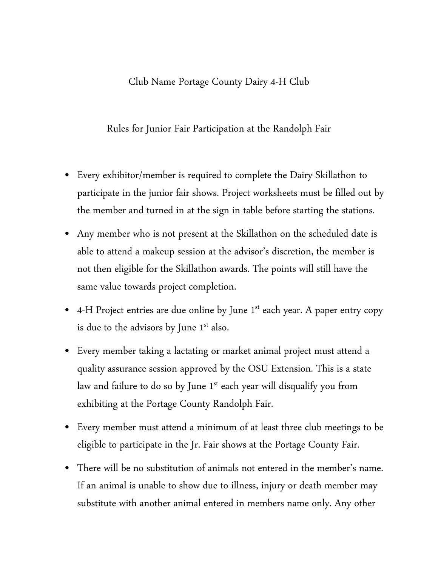## Club Name Portage County Dairy 4-H Club

Rules for Junior Fair Participation at the Randolph Fair

- Every exhibitor/member is required to complete the Dairy Skillathon to participate in the junior fair shows. Project worksheets must be filled out by the member and turned in at the sign in table before starting the stations.
- Any member who is not present at the Skillathon on the scheduled date is able to attend a makeup session at the advisor's discretion, the member is not then eligible for the Skillathon awards. The points will still have the same value towards project completion.
- 4-H Project entries are due online by June  $1<sup>st</sup>$  each year. A paper entry copy is due to the advisors by June  $1<sup>st</sup>$  also.
- Every member taking a lactating or market animal project must attend a quality assurance session approved by the OSU Extension. This is a state law and failure to do so by June  $1<sup>st</sup>$  each year will disqualify you from exhibiting at the Portage County Randolph Fair.
- Every member must attend a minimum of at least three club meetings to be eligible to participate in the Jr. Fair shows at the Portage County Fair.
- There will be no substitution of animals not entered in the member's name. If an animal is unable to show due to illness, injury or death member may substitute with another animal entered in members name only. Any other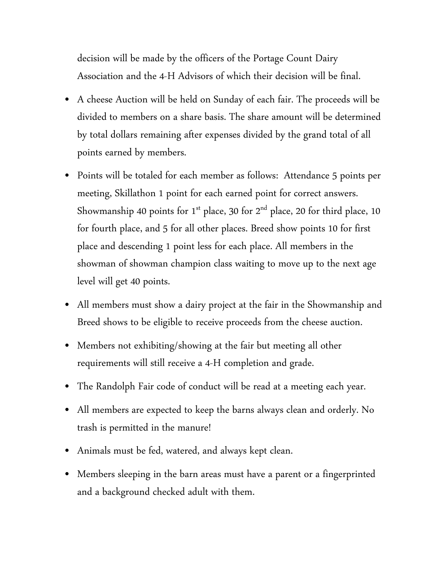decision will be made by the officers of the Portage Count Dairy Association and the 4-H Advisors of which their decision will be final.

- A cheese Auction will be held on Sunday of each fair. The proceeds will be divided to members on a share basis. The share amount will be determined by total dollars remaining after expenses divided by the grand total of all points earned by members.
- Points will be totaled for each member as follows: Attendance 5 points per meeting, Skillathon 1 point for each earned point for correct answers. Showmanship 40 points for 1<sup>st</sup> place, 30 for  $2<sup>nd</sup>$  place, 20 for third place, 10 for fourth place, and 5 for all other places. Breed show points 10 for first place and descending 1 point less for each place. All members in the showman of showman champion class waiting to move up to the next age level will get 40 points.
- All members must show a dairy project at the fair in the Showmanship and Breed shows to be eligible to receive proceeds from the cheese auction.
- Members not exhibiting/showing at the fair but meeting all other requirements will still receive a 4-H completion and grade.
- The Randolph Fair code of conduct will be read at a meeting each year.
- All members are expected to keep the barns always clean and orderly. No trash is permitted in the manure!
- Animals must be fed, watered, and always kept clean.
- Members sleeping in the barn areas must have a parent or a fingerprinted and a background checked adult with them.